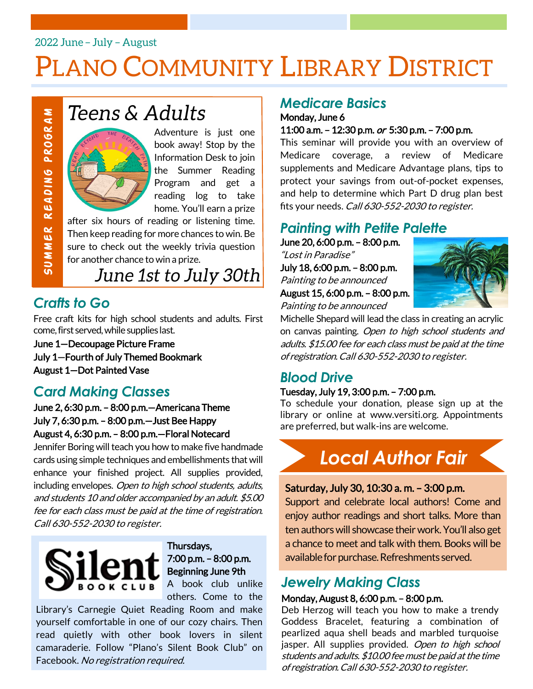### 2022 June - July - August

# PLANO COMMUNITY LIBRARY DISTRICT



Adventure is just one book away! Stop by the Information Desk to join the Summer Reading Program and get a reading log to take home. You'll earn a prize

after six hours of reading or listening time. Then keep reading for more chances to win. Be sure to check out the weekly trivia question for another chance to win a prize.

### *Crafts to Go*

Free craft kits for high school students and adults. First come, first served, while supplies last.

June 1—Decoupage Picture Frame July 1—Fourth of July Themed Bookmark August 1—Dot Painted Vase

### *Card Making Classes*

June 2, 6:30 p.m. – 8:00 p.m.—Americana Theme July 7, 6:30 p.m. – 8:00 p.m.—Just Bee Happy August 4, 6:30 p.m. – 8:00 p.m.—Floral Notecard

Jennifer Boring will teach you how to make five handmade cards using simple techniques and embellishments that will enhance your finished project. All supplies provided, including envelopes. Open to high school students, adults, and students 10 and older accompanied by an adult. \$5.00 fee for each class must be paid at the time of registration. Call 630-552-2030 to register.<br>
Call 630-552-2030 to register.<br>
Call 630-552-2030 to register.<br>
Call 630-552-2030 to register.<br>
Call 630-552-2030 to register.<br>
Call 630-552-2030 to register.<br>
Call 630-552-2030 to register.



#### Thursdays, 7:00 p.m. – 8:00 p.m. Beginning June 9th A book club unlike

others. Come to the

Library's Carnegie Quiet Reading Room and make yourself comfortable in one of our cozy chairs. Then read quietly with other book lovers in silent camaraderie. Follow "Plano's Silent Book Club" on Facebook. No registration required.

### *Medicare Basics*

Monday, June 6 11:00 a.m. – 12:30 p.m. or 5:30 p.m. – 7:00 p.m.

This seminar will provide you with an overview of Medicare coverage, a review of Medicare supplements and Medicare Advantage plans, tips to protect your savings from out-of-pocket expenses, and help to determine which Part D drug plan best fits your needs. Call 630-552-2030 to register.

### *Painting with Petite Palette*

June 20, 6:00 p.m. – 8:00 p.m. "Lost in Paradise" July 18, 6:00 p.m. – 8:00 p.m. Painting to be announced August 15, 6:00 p.m. – 8:00 p.m.

Painting to be announced



Michelle Shepard will lead the class in creating an acrylic on canvas painting. Open to high school students and adults. \$15.00 fee for each class must be paid at the time of registration. Call 630-552-2030 to register.

### *Blood Drive*

#### Tuesday, July 19, 3:00 p.m. – 7:00 p.m.

To schedule your donation, please sign up at the library or online at www.versiti.org. Appointments are preferred, but walk-ins are welcome.



#### Saturday, July 30, 10:30 a. m. – 3:00 p.m.

Support and celebrate local authors! Come and enjoy author readings and short talks. More than ten authors will showcase their work. You'll also get a chance to meet and talk with them. Books will be available for purchase. Refreshments served.

### *Jewelry Making Class*

#### Monday, August 8, 6:00 p.m. – 8:00 p.m.

Deb Herzog will teach you how to make a trendy Goddess Bracelet, featuring a combination of pearlized aqua shell beads and marbled turquoise jasper. All supplies provided. Open to high school students and adults. \$10.00 fee must be paid at the time of registration. Call 630-552-2030 to register.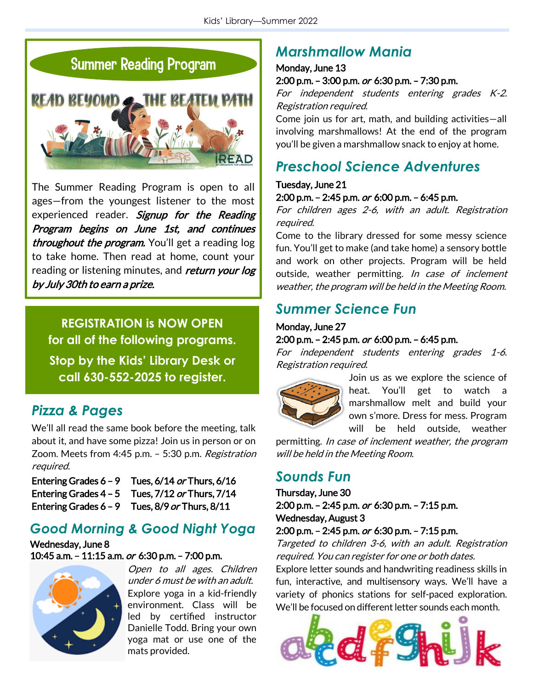



The Summer Reading Program is open to all ages—from the youngest listener to the most experienced reader. Signup for the Reading Program begins on June 1st, and continues throughout the program. You'll get a reading log to take home. Then read at home, count your reading or listening minutes, and *return your log* by July 30th to earn a prize.

**REGISTRATION is NOW OPEN for all of the following programs. Stop by the Kids' Library Desk or call 630-552-2025 to register.**

### *Pizza & Pages*

We'll all read the same book before the meeting, talk about it, and have some pizza! Join us in person or on Zoom. Meets from 4:45 p.m. - 5:30 p.m. Registration required.

| Entering Grades $6 - 9$ | Tues, 6/14 or Thurs, 6/16                             |
|-------------------------|-------------------------------------------------------|
|                         | Entering Grades $4 - 5$ Tues, $7/12$ or Thurs, $7/14$ |
| Entering Grades $6 - 9$ | Tues, 8/9 or Thurs, 8/11                              |

### *Good Morning & Good Night Yoga*

Wednesday, June 8 10:45 a.m. – 11:15 a.m. or 6:30 p.m. – 7:00 p.m.



Open to all ages. Children under 6 must be with an adult. Explore yoga in a kid-friendly environment. Class will be led by certified instructor Danielle Todd. Bring your own yoga mat or use one of the mats provided.

### *Marshmallow Mania*

#### Monday, June 13

#### 2:00 p.m. – 3:00 p.m. or 6:30 p.m. – 7:30 p.m.

For independent students entering grades K-2. Registration required.

Come join us for art, math, and building activities—all involving marshmallows! At the end of the program you'll be given a marshmallow snack to enjoy at home.

### *Preschool Science Adventures*

#### Tuesday, June 21 2:00 p.m. – 2:45 p.m. or 6:00 p.m. – 6:45 p.m.

For children ages 2-6, with an adult. Registration required.

Come to the library dressed for some messy science fun. You'll get to make (and take home) a sensory bottle and work on other projects. Program will be held outside, weather permitting. In case of inclement weather, the program will be held in the Meeting Room.

### *Summer Science Fun*

#### Monday, June 27 2:00 p.m. – 2:45 p.m. or 6:00 p.m. – 6:45 p.m.

For independent students entering grades 1-6. Registration required.



Join us as we explore the science of heat. You'll get to watch a marshmallow melt and build your own s'more. Dress for mess. Program will be held outside, weather

permitting. In case of inclement weather, the program will be held in the Meeting Room.

### *Sounds Fun*

Thursday, June 30 2:00 p.m. – 2:45 p.m. or 6:30 p.m. – 7:15 p.m. Wednesday, August 3

2:00 p.m. – 2:45 p.m. or 6:30 p.m. – 7:15 p.m.

Targeted to children 3-6, with an adult. Registration required. You can register for one or both dates.

Explore letter sounds and handwriting readiness skills in fun, interactive, and multisensory ways. We'll have a variety of phonics stations for self-paced exploration. We'll be focused on different letter sounds each month.

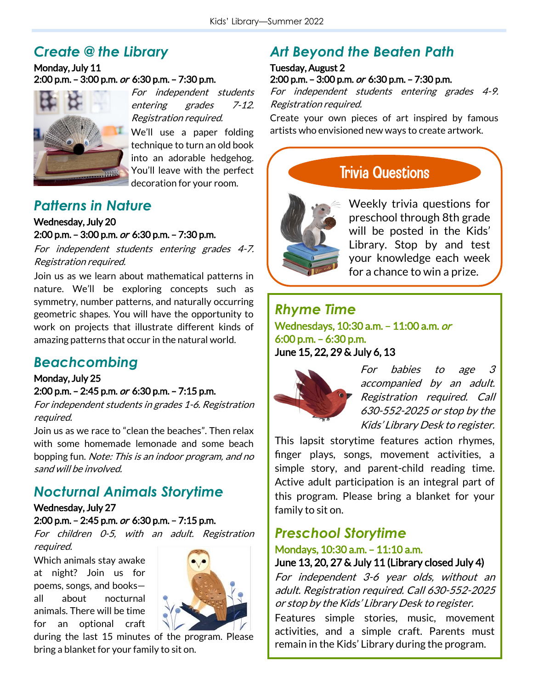### *Create @ the Library*

#### Monday, July 11 2:00 p.m. – 3:00 p.m. or 6:30 p.m. – 7:30 p.m.



For independent students entering grades 7-12. Registration required.

We'll use a paper folding technique to turn an old book into an adorable hedgehog. You'll leave with the perfect decoration for your room.

### *Patterns in Nature*

#### Wednesday, July 20 2:00 p.m. – 3:00 p.m. or 6:30 p.m. – 7:30 p.m.

For independent students entering grades 4-7. Registration required.

Join us as we learn about mathematical patterns in nature. We'll be exploring concepts such as symmetry, number patterns, and naturally occurring geometric shapes. You will have the opportunity to work on projects that illustrate different kinds of amazing patterns that occur in the natural world.

### *Beachcombing*

Monday, July 25 2:00 p.m. – 2:45 p.m. or 6:30 p.m. – 7:15 p.m.

For independent students in grades 1-6. Registration required.

Join us as we race to "clean the beaches". Then relax with some homemade lemonade and some beach bopping fun. Note: This is an indoor program, and no sand will be involved.

### *Nocturnal Animals Storytime*

#### Wednesday, July 27

2:00 p.m. – 2:45 p.m. or 6:30 p.m. – 7:15 p.m.

For children 0-5, with an adult. Registration required.

Which animals stay awake at night? Join us for poems, songs, and books all about nocturnal animals. There will be time for an optional craft



during the last 15 minutes of the program. Please bring a blanket for your family to sit on.

### *Art Beyond the Beaten Path*

## Tuesday, August 2

#### 2:00 p.m. – 3:00 p.m. or 6:30 p.m. – 7:30 p.m.

For independent students entering grades 4-9. Registration required.

Create your own pieces of art inspired by famous artists who envisioned new ways to create artwork.

**Trivia Questions** 



Weekly trivia questions for preschool through 8th grade will be posted in the Kids' Library. Stop by and test your knowledge each week for a chance to win a prize.

#### *Rhyme Time* Wednesdays, 10:30 a.m. - 11:00 a.m. or 6:00 p.m. – 6:30 p.m.

June 15, 22, 29 & July 6, 13



For babies to age 3 accompanied by an adult. Registration required. Call 630-552-2025 or stop by the Kids' Library Desk to register.

This lapsit storytime features action rhymes, finger plays, songs, movement activities, a simple story, and parent-child reading time. Active adult participation is an integral part of this program. Please bring a blanket for your family to sit on.

### *Preschool Storytime*

#### Mondays, 10:30 a.m. – 11:10 a.m. June 13, 20, 27 & July 11 (Library closed July 4)

For independent 3-6 year olds, without an adult. Registration required. Call 630-552-2025

or stop by the Kids' Library Desk to register. Features simple stories, music, movement

activities, and a simple craft. Parents must remain in the Kids' Library during the program.